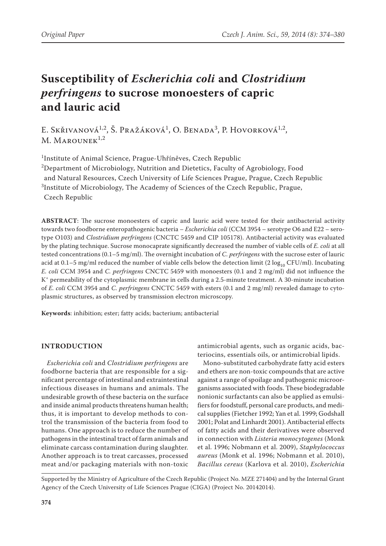# **Susceptibility of** *Escherichia coli* **and** *Clostridium perfringens* **to sucrose monoesters of capric and lauric acid**

E. Skřivanová<sup>1,2</sup>, Š. Pražáková<sup>1</sup>, O. Benada<sup>3</sup>, P. Hovorková<sup>1,2</sup>,  $M.$  MAROUNEK<sup>1,2</sup>

1 Institute of Animal Science, Prague-Uhříněves, Czech Republic

 $^{2}$ Department of Microbiology, Nutrition and Dietetics, Faculty of Agrobiology, Food and Natural Resources, Czech University of Life Sciences Prague, Prague, Czech Republic 3 Institute of Microbiology, The Academy of Sciences of the Czech Republic, Prague, Czech Republic

**ABSTRACT**: The sucrose monoesters of capric and lauric acid were tested for their antibacterial activity towards two foodborne enteropathogenic bacteria – *Escherichia coli* (CCM 3954 – serotype O6 and E22 – serotype O103) and *Clostridium perfringens* (CNCTC 5459 and CIP 105178). Antibacterial activity was evaluated by the plating technique. Sucrose monocaprate significantly decreased the number of viable cells of *E. coli* at all tested concentrations (0.1–5 mg/ml). The overnight incubation of *C. perfringens* with the sucrose ester of lauric acid at 0.1–5 mg/ml reduced the number of viable cells below the detection limit (2  $\log_{10}$  CFU/ml). Incubating *E. coli* CCM 3954 and *C. perfringens* CNCTC 5459 with monoesters (0.1 and 2 mg/ml) did not influence the K+ permeability of the cytoplasmic membrane in cells during a 2.5-minute treatment. A 30-minute incubation of *E. coli* CCM 3954 and *C. perfringens* CNCTC 5459 with esters (0.1 and 2 mg/ml) revealed damage to cytoplasmic structures, as observed by transmission electron microscopy.

**Keywords**: inhibition; ester; fatty acids; bacterium; antibacterial

## **INTRODUCTION**

*Escherichia coli* and *Clostridium perfringens* are foodborne bacteria that are responsible for a significant percentage of intestinal and extraintestinal infectious diseases in humans and animals. The undesirable growth of these bacteria on the surface and inside animal products threatens human health; thus, it is important to develop methods to control the transmission of the bacteria from food to humans. One approach is to reduce the number of pathogens in the intestinal tract of farm animals and eliminate carcass contamination during slaughter. Another approach is to treat carcasses, processed meat and/or packaging materials with non-toxic

antimicrobial agents, such as organic acids, bacteriocins, essentials oils, or antimicrobial lipids.

Mono-substituted carbohydrate fatty acid esters and ethers are non-toxic compounds that are active against a range of spoilage and pathogenic microorganisms associated with foods. These biodegradable nonionic surfactants can also be applied as emulsifiers for foodstuff, personal care products, and medical supplies (Fietcher 1992; Yan et al. 1999; Godshall 2001; Polat and Linhardt 2001). Antibacterial effects of fatty acids and their derivatives were observed in connection with *Listeria monocytogenes* (Monk et al. 1996; Nobmann et al. 2009), *Staphylococcus aureus* (Monk et al. 1996; Nobmann et al. 2010), *Bacillus cereus* (Karlova et al. 2010), *Escherichia* 

Supported by the Ministry of Agriculture of the Czech Republic (Project No. MZE 271404) and by the Internal Grant Agency of the Czech University of Life Sciences Prague (CIGA) (Project No. 20142014).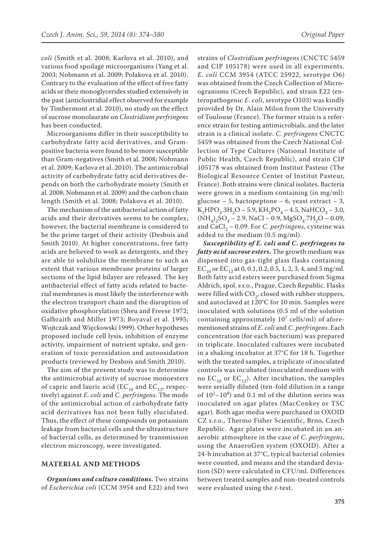*coli* (Smith et al. 2008; Karlova et al. 2010), and various food spoilage microorganisms (Yang et al. 2003; Nobmann et al. 2009; Polakova et al. 2010). Contrary to the evaluation of the effect of free fatty acids or their monoglycerides studied extensively in the past (anticlostridial effect observed for example by Timbermont et al. 2010), no study on the effect of sucrose monolaurate on *Clostridium perfringens*  has been conducted.

Microorganisms differ in their susceptibility to carbohydrate fatty acid derivatives, and Grampositive bacteria were found to be more susceptible than Gram-negatives (Smith et al. 2008; Nobmann et al. 2009; Karlova et al. 2010). The antimicrobial activity of carbohydrate fatty acid derivatives depends on both the carbohydrate moiety (Smith et al. 2008; Nobmann et al. 2009) and the carbon chain length (Smith et al. 2008; Polakova et al. 2010).

The mechanism of the antibacterial action of fatty acids and their derivatives seems to be complex; however, the bacterial membrane is considered to be the prime target of their activity (Desbois and Smith 2010). At higher concentrations, free fatty acids are believed to work as detergents, and they are able to solubilize the membrane to such an extent that various membrane proteins of larger sections of the lipid bilayer are released. The key antibacterial effect of fatty acids related to bacterial membranes is most likely the interference with the electron transport chain and the disruption of oxidative phosphorylation (Sheu and Freese 1972; Galbraith and Miller 1973; Boyaval et al. 1995; Wojtczak and Więckowski 1999). Other hypotheses proposed include cell lysis, inhibition of enzyme activity, impairment of nutrient uptake, and generation of toxic peroxidation and autooxidation products (reviewed by Desbois and Smith 2010).

The aim of the present study was to determine the antimicrobial activity of sucrose monoesters of capric and lauric acid (EC<sub>10</sub> and EC<sub>12</sub>, respectively) against *E. coli* and *C. perfringens*. The mode of the antimicrobial action of carbohydrate fatty acid derivatives has not been fully elucidated. Thus, the effect of these compounds on potassium leakage from bacterial cells and the ultrastructure of bacterial cells, as determined by transmission electron microscopy, were investigated.

#### **MATERIAL AND METHODS**

*Organisms and culture conditions***.** Two strains of *Escherichia coli* (CCM 3954 and E22) and two strains of *Clostridium perfringens* (CNCTC 5459 and CIP 105178) were used in all experiments. *E. coli* CCM 3954 (ATCC 25922, serotype O6) was obtained from the Czech Collection of Microogranisms (Czech Republic), and strain E22 (enteropathogenic *E. coli*, serotype O103) was kindly provided by Dr. Alain Milon from the University of Toulouse (France). The former strain is a reference strain for testing antimicrobials, and the later strain is a clinical isolate. *C. perfringens* CNCTC 5459 was obtained from the Czech National Collection of Type Cultures (National Institute of Public Health, Czech Republic), and strain CIP 105178 was obtained from Institut Pasteur (The Biological Resource Center of Institut Pasteur, France). Both strains were clinical isolates. Bacteria were grown in a medium containing (in mg/ml): glucose – 5, bactopeptone – 6, yeast extract – 3,  $K_2HPO_4.3H_2O - 5.9$ ,  $KH_2PO_4 - 4.5$ , NaHCO<sub>3</sub> – 3.0,  $(NH_4)_2SO_4 - 2.9$ , NaCl – 0.9, MgSO<sub>4</sub>.7H<sub>2</sub>O – 0.09, and CaCl<sub>2</sub> – 0.09. For *C. perfringens*, cysteine was added to the medium (0.5 mg/ml).

*Susceptibility of E. coli and C. perfringens to fatty acid sucrose esters***.** The growth medium was dispensed into gas-tight glass flasks containing EC<sub>10</sub> or EC<sub>12</sub> at 0, 0.1, 0.2, 0.5, 1, 2, 3, 4, and 5 mg/ml. Both fatty acid esters were purchased from Sigma Aldrich, spol. s r.o., Prague, Czech Republic. Flasks were filled with  $CO<sub>2</sub>$ , closed with rubber stoppers, and autoclaved at 120°C for 10 min. Samples were inoculated with solutions (0.5 ml of the solution containing approximately  $10^7$  cells/ml) of aforementioned strains of *E. coli* and *C. perfringens*. Each concentration (for each bacterium) was prepared in triplicate. Inoculated cultures were incubated in a shaking incubator at 37°C for 18 h. Together with the treated samples, a triplicate of inoculated controls was incubated (inoculated medium with no  $EC_{10}$  or  $EC_{12}$ ). After incubation, the samples were serially diluted (ten-fold dilution in a range of  $10^2 - 10^8$ ) and 0.1 ml of the dilution series was inoculated on agar plates (MacConkey or TSC agar). Both agar media were purchased in OXOID CZ s.r.o., Thermo Fisher Scientific, Brno, Czech Republic. Agar plates were incubated in an anaerobic atmosphere in the case of *C. perfringens*, using the AnaeroGen system (OXOID). After a 24-h incubation at 37°C, typical bacterial colonies were counted, and means and the standard deviation (SD) were calculated in CFU/ml. Differences between treated samples and non-treated controls were evaluated using the *t*-test.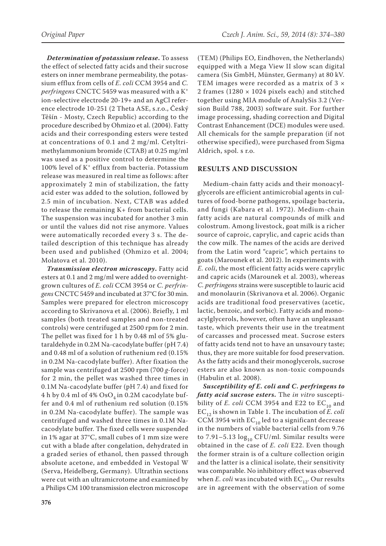*Determination of potassium release***.** To assess the effect of selected fatty acids and their sucrose esters on inner membrane permeability, the potassium efflux from cells of *E. coli* CCM 3954 and *C. perfringens* CNCTC 5459 was measured with a K<sup>+</sup> ion-selective electrode 20-19+ and an AgCl reference electrode 10-251 (2 Theta ASE, s.r.o., Český Těšín - Mosty, Czech Republic) according to the procedure described by Ohmizo et al. (2004). Fatty acids and their corresponding esters were tested at concentrations of 0.1 and 2 mg/ml. Cetyltrimethylammonium bromide (CTAB) at 0.25 mg/ml was used as a positive control to determine the 100% level of K+ efflux from bacteria. Potassium release was measured in real time as follows: after approximately 2 min of stabilization, the fatty acid ester was added to the solution, followed by 2.5 min of incubation. Next, CTAB was added to release the remaining K+ from bacterial cells. The suspension was incubated for another 3 min or until the values did not rise anymore. Values were automatically recorded every 3 s. The detailed description of this technique has already been used and published (Ohmizo et al. 2004; Molatova et al. 2010).

*Transmission electron microscopy***.** Fatty acid esters at 0.1 and 2 mg/ml were added to overnightgrown cultures of *E. coli* CCM 3954 or *C. perfringens* CNCTC 5459 and incubated at 37°C for 30 min. Samples were prepared for electron microscopy according to Skrivanova et al. (2006). Briefly, 1 ml samples (both treated samples and non-treated controls) were centrifuged at 2500 rpm for 2 min. The pellet was fixed for 1 h by 0.48 ml of 5% glutaraldehyde in 0.2M Na-cacodylate buffer (pH 7.4) and 0.48 ml of a solution of ruthenium red (0.15% in 0.2M Na-cacodylate buffer). After fixation the sample was centrifuged at 2500 rpm (700 *g*-force) for 2 min, the pellet was washed three times in 0.1M Na-cacodylate buffer (pH 7.4) and fixed for 4 h by 0.4 ml of 4%  $OsO<sub>4</sub>$  in 0.2M cacodylate buffer and 0.4 ml of ruthenium red solution (0.15% in 0.2M Na-cacodylate buffer). The sample was centrifuged and washed three times in 0.1M Nacacodylate buffer. The fixed cells were suspended in 1% agar at 37°C, small cubes of 1 mm size were cut with a blade after congelation, dehydrated in a graded series of ethanol, then passed through absolute acetone, and embedded in Vestopal W (Serva, Heidelberg, Germany). Ultrathin sections were cut with an ultramicrotome and examined by a Philips CM 100 transmission electron microscope

(TEM) (Philips EO, Eindhoven, the Netherlands) equipped with a Mega View II slow scan digital camera (Sis GmbH, Münster, Germany) at 80 kV. TEM images were recorded as a matrix of  $3 \times$ 2 frames (1280  $\times$  1024 pixels each) and stitched together using MIA module of AnalySis 3.2 (Version Build 788, 2003) software suit. For further image processing, shading correction and Digital Contrast Enhancement (DCE) modules were used. All chemicals for the sample preparation (if not otherwise specified), were purchased from Sigma Aldrich, spol. s r.o.

### **RESULTS AND DISCUSSION**

Medium-chain fatty acids and their monoacylglycerols are efficient antimicrobial agents in cultures of food-borne pathogens, spoilage bacteria, and fungi (Kabara et al. 1972). Medium-chain fatty acids are natural compounds of milk and colostrum. Among livestock, goat milk is a richer source of caproic, caprylic, and capric acids than the cow milk. The names of the acids are derived from the Latin word "capric", which pertains to goats (Marounek et al. 2012). In experiments with *E. coli*, the most efficient fatty acids were caprylic and capric acids (Marounek et al. 2003), whereas *C. perfringens* strains were susceptible to lauric acid and monolaurin (Skrivanova et al. 2006). Organic acids are traditional food preservatives (acetic, lactic, benzoic, and sorbic). Fatty acids and monoacylglycerols, however, often have an unpleasant taste, which prevents their use in the treatment of carcasses and processed meat. Sucrose esters of fatty acids tend not to have an unsavoury taste; thus, they are more suitable for food preservation. As the fatty acids and their monoglycerols, sucrose esters are also known as non-toxic compounds (Habulin et al. 2008).

*Susceptibility of E. coli and C. perfringens to fatty acid sucrose esters***.** The *in vitro* susceptibility of *E. coli* CCM 3954 and E22 to  $EC_{10}$  and  $EC_{12}$  is shown in Table 1. The incubation of *E. coli* CCM 3954 with  $EC_{10}$  led to a significant decrease in the numbers of viable bacterial cells from 9.76 to 7.91–5.13  $log_{10}$  CFU/ml. Similar results were obtained in the case of *E. coli* E22. Even though the former strain is of a culture collection origin and the latter is a clinical isolate, their sensitivity was comparable. No inhibitory effect was observed when  $E.$  *coli* was incubated with  $EC_{12}$ . Our results are in agreement with the observation of some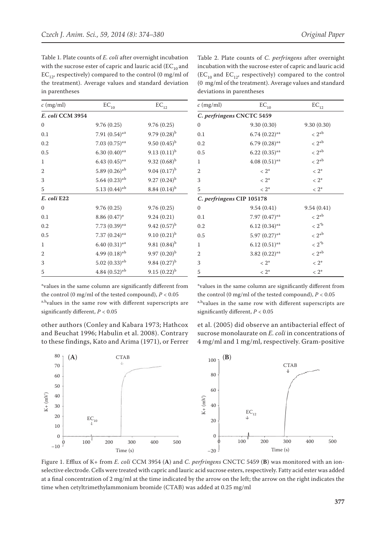Table 1. Plate counts of *E. coli* after overnight incubation with the sucrose ester of capric and lauric acid  $(EC_{10}$  and  $EC_{12}$ , respectively) compared to the control (0 mg/ml of the treatment). Average values and standard deviation in parentheses

| $c$ (mg/ml)      | $\mathrm{EC}_{10}$          | $\mathrm{EC}_{12}$ |
|------------------|-----------------------------|--------------------|
| E. coli CCM 3954 |                             |                    |
| $\Omega$         | 9.76(0.25)                  | 9.76(0.25)         |
| 0.1              | 7.91 $(0.54)$ *a            | $9.79(0.28)^{b}$   |
| 0.2              | $7.03(0.75)*$ <sup>a</sup>  | 9.50 $(0.45)^{b}$  |
| 0.5              | $6.30(0.40)$ *a             | $9.13(0.11)^{b}$   |
| 1                | $6.43(0.45)$ * <sup>a</sup> | $9.32(0.68)^{b}$   |
| $\overline{2}$   | 5.89 $(0.26)$ <sup>*b</sup> | 9.04 $(0.17)^{b}$  |
| 3                | $5.64~(0.23)*b$             | $9.27(0.24)^{b}$   |
| 5                | $5.13(0.44)*b$              | $8.84~(0.14)^{b}$  |
| E. coli E22      |                             |                    |
| $\Omega$         | 9.76(0.25)                  | 9.76(0.25)         |
| 0.1              | $8.86(0.47)^*$              | 9.24(0.21)         |
| 0.2              | $7.73(0.39)*$ <sup>a</sup>  | $9.42(0.57)^{b}$   |
| 0.5              | 7.37 $(0.24)$ *a            | $9.10(0.21)^{b}$   |
| 1                | $6.40(0.31)*$ a             | $9.81~(0.84)^{b}$  |
| $\overline{2}$   | 4.99 $(0.18)$ <sup>*b</sup> | $9.97(0.20)^{b}$   |
| 3                | $5.02(0.33)*b$              | $9.84~(0.27)^{b}$  |
| 5                | $4.84~(0.52)*^{\text{b}}$   | $9.15(0.22)^{b}$   |

Table 2. Plate counts of *C. perfringens* after overnight incubation with the sucrose ester of capric and lauric acid  $(EC_{10}$  and  $EC_{12}$ , respectively) compared to the control (0 mg/ml of the treatment). Average values and standard deviations in parentheses

| $c$ (mg/ml)               | $\mathrm{EC}_{10}$         | $\mathrm{EC}_{12}$ |
|---------------------------|----------------------------|--------------------|
| C. perfringens CNCTC 5459 |                            |                    |
| $\Omega$                  | 9.30(0.30)                 | 9.30(0.30)         |
| 0.1                       | $6.74(0.22)*$ <sup>a</sup> | $< 2^{*b}$         |
| 0.2                       | 6.79 $(0.28)$ *a           | $< 2^{*b}$         |
| 0.5                       | $6.22(0.35)$ *a            | $< 2^{*b}$         |
| 1                         | $4.08(0.51)$ *a            | $< 2^{\ast b}$     |
| $\overline{2}$            | $< 2^*$                    | $< 2^*$            |
| 3                         | $< 2^*$                    | $< 2^*$            |
| 5                         | $< 2^*$                    | $< 2^*$            |
| C. perfringens CIP 105178 |                            |                    |
| $\mathbf{0}$              | 9.54(0.41)                 | 9.54(0.41)         |
| 0.1                       | 7.97 $(0.47)$ *a           | $< 2^{*b}$         |
| 0.2                       | $6.12(0.34)$ *a            | $< 2^{\circ b}$    |
| 0.5                       | $5.97(0.27)$ *a            | $< 2^{*b}$         |
| 1                         | $6.12(0.51)$ *a            | $<2^{\circ b}$     |
| $\overline{2}$            | 3.82 $(0.22)$ *a           | $< 2^{*b}$         |
| 3                         | $< 2^*$                    | $< 2^*$            |
| 5                         | $< 2^*$                    | $< 2^*$            |
|                           |                            |                    |

\*values in the same column are significantly different from the control (0 mg/ml of the tested compound),  $P < 0.05$ a,b<sub>values</sub> in the same row with different superscripts are significantly different, *P* < 0.05

other authors (Conley and Kabara 1973; Hathcox and Beuchat 1996; Habulin et al. 2008). Contrary to these findings, Kato and Arima (1971), or Ferrer

\*values in the same column are significantly different from the control (0 mg/ml of the tested compound),  $P < 0.05$ a,b<sub>values</sub> in the same row with different superscripts are significantly different, *P* < 0.05

et al. (2005) did observe an antibacterial effect of sucrose monolaurate on *E. coli* in concentrations of 4 mg/ml and 1 mg/ml, respectively. Gram-positive



Figure 1. Efflux of K+ from *E. coli* CCM 3954 (**A**) and *C. perfringens* CNCTC 5459 (**B**) was monitored with an ionselective electrode. Cells were treated with capric and lauric acid sucrose esters, respectively. Fatty acid ester was added at a final concentration of 2 mg/ml at the time indicated by the arrow on the left; the arrow on the right indicates the time when cetyltrimethylammonium bromide (CTAB) was added at 0.25 mg/ml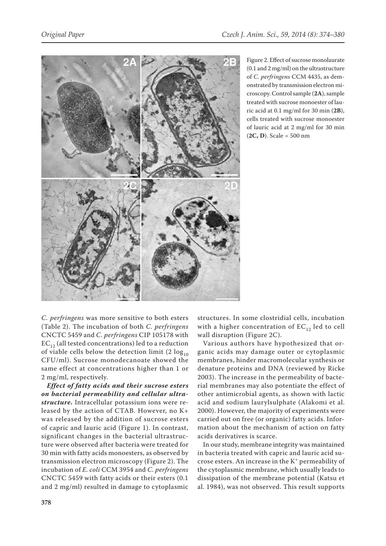

Figure 2. Effect of sucrose monolaurate (0.1 and 2 mg/ml) on the ultrastructure of *C. perfringens* CCM 4435, as demonstrated by transmission electron microscopy. Control sample (**2A**), sample treated with sucrose monoester of lauric acid at 0.1 mg/ml for 30 min (**2B**), cells treated with sucrose monoester of lauric acid at 2 mg/ml for 30 min (**2C, D**). Scale = 500 nm

*C. perfringens* was more sensitive to both esters (Table 2). The incubation of both *C. perfringens* CNCTC 5459 and *C. perfringens* CIP 105178 with  $EC_{12}$  (all tested concentrations) led to a reduction of viable cells below the detection limit  $(2 \log_{10}$ CFU/ml). Sucrose monodecanoate showed the same effect at concentrations higher than 1 or 2 mg/ml, respectively.

*Effect of fatty acids and their sucrose esters on bacterial permeability and cellular ultrastructure***.** Intracellular potassium ions were released by the action of CTAB. However, no K+ was released by the addition of sucrose esters of capric and lauric acid (Figure 1). In contrast, significant changes in the bacterial ultrastructure were observed after bacteria were treated for 30 min with fatty acids monoesters, as observed by transmission electron microscopy (Figure 2). The incubation of *E. coli* CCM 3954 and *C. perfringens* CNCTC 5459 with fatty acids or their esters (0.1 and 2 mg/ml) resulted in damage to cytoplasmic

structures. In some clostridial cells, incubation with a higher concentration of  $EC_{12}$  led to cell wall disruption (Figure 2C).

Various authors have hypothesized that organic acids may damage outer or cytoplasmic membranes, hinder macromolecular synthesis or denature proteins and DNA (reviewed by Ricke 2003). The increase in the permeability of bacterial membranes may also potentiate the effect of other antimicrobial agents, as shown with lactic acid and sodium laurylsulphate (Alakomi et al. 2000). However, the majority of experiments were carried out on free (or organic) fatty acids. Information about the mechanism of action on fatty acids derivatives is scarce.

In our study, membrane integrity was maintained in bacteria treated with capric and lauric acid sucrose esters. An increase in the K+ permeability of the cytoplasmic membrane, which usually leads to dissipation of the membrane potential (Katsu et al. 1984), was not observed. This result supports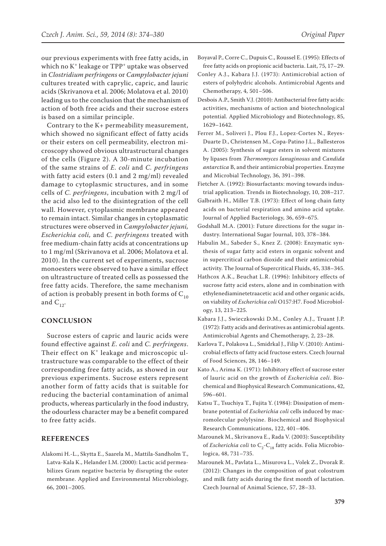our previous experiments with free fatty acids, in which no  $K^+$  leakage or  $TPP^+$  uptake was observed in *Clostridium perfringens* or *Campylobacter jejuni* cultures treated with caprylic, capric, and lauric acids (Skrivanova et al. 2006; Molatova et al. 2010) leading us to the conclusion that the mechanism of action of both free acids and their sucrose esters is based on a similar principle.

Contrary to the K+ permeability measurement, which showed no significant effect of fatty acids or their esters on cell permeability, electron microscopy showed obvious ultrastructural changes of the cells (Figure 2). A 30-minute incubation of the same strains of *E. coli* and *C. perfringens* with fatty acid esters (0.1 and 2 mg/ml) revealed damage to cytoplasmic structures, and in some cells of *C. perfringens*, incubation with 2 mg/l of the acid also led to the disintegration of the cell wall. However, cytoplasmic membrane appeared to remain intact. Similar changes in cytoplasmatic structures were observed in *Campylobacter jejuni, Escherichia coli,* and *C. perfringens* treated with free medium-chain fatty acids at concentrations up to 1 mg/ml (Skrivanova et al. 2006; Molatova et al. 2010). In the current set of experiments, sucrose monoesters were observed to have a similar effect on ultrastructure of treated cells as possessed the free fatty acids. Therefore, the same mechanism of action is probably present in both forms of  $C_{10}$ and  $C_{12}$ .

#### **CONCLUSION**

Sucrose esters of capric and lauric acids were found effective against *E. coli* and *C. perfringens*. Their effect on K<sup>+</sup> leakage and microscopic ultrastructure was comparable to the effect of their corresponding free fatty acids, as showed in our previous experiments. Sucrose esters represent another form of fatty acids that is suitable for reducing the bacterial contamination of animal products, whereas particularly in the food industry, the odourless character may be a benefit compared to free fatty acids.

#### **REFERENCES**

Alakomi H.-L., Skytta E., Saarela M., Mattila-Sandholm T., Latva-Kala K., Helander I.M. (2000): Lactic acid permeabilizes Gram negative bacteria by disrupting the outer membrane. Applied and Environmental Microbiology, 66, 2001–2005.

- Boyaval P., Corre C., Dupuis C., Roussel E. (1995): Effects of free fatty acids on propionic acid bacteria. Lait, 75, 17–29.
- Conley A.J., Kabara J.J. (1973): Antimicrobial action of esters of polyhydric alcohols. Antimicrobial Agents and Chemotherapy, 4, 501–506.
- Desbois A.P., Smith V.J. (2010): Antibacterial free fatty acids: activities, mechanisms of action and biotechnological potential. Applied Microbiology and Biotechnology, 85, 1629–1642.
- Ferrer M., Soliveri J., Plou F.J., Lopez-Cortes N., Reyes-Duarte D., Christensen M., Copa-Patino J.L., Ballesteros A. (2005): Synthesis of sugar esters in solvent mixtures by lipases from *Thermomyces lanuginosus* and *Candida antarctica* B, and their antimicrobial properties. Enzyme and Microbial Technology, 36, 391–398.
- Fietcher A. (1992): Biosurfactants: moving towards industrial application. Trends in Biotechnology, 10, 208–217.
- Galbraith H., Miller T.B. (1973): Effect of long chain fatty acids on bacterial respiration and amino acid uptake. Journal of Applied Bacteriology, 36, 659–675.
- Godshall M.A. (2001): Future directions for the sugar industry. International Sugar Journal, 103, 378–384.
- Habulin M., Sabeder S., Knez Z. (2008): Enzymatic synthesis of sugar fatty acid esters in organic solvent and in supercritical carbon dioxide and their antimicrobial activity. The Journal of Supercritical Fluids, 45, 338–345.
- Hathcox A.K., Beuchat L.R. (1996): Inhibitory effects of sucrose fatty acid esters, alone and in combination with ethylenediaminetetraacetic acid and other organic acids, on viability of *Escherichia coli* O157:H7. Food Microbiology, 13, 213–225.
- Kabara J.J., Swieczkowski D.M., Conley A.J., Truant J.P. (1972): Fatty acids and derivatives as antimicrobial agents. Antimicrobial Agents and Chemotherapy, 2, 23–28.
- Karlova T., Polakova L., Smidrkal J., Filip V. (2010): Antimicrobial effects of fatty acid fructose esters. Czech Journal of Food Sciences, 28, 146–149.
- Kato A., Arima K. (1971): Inhibitory effect of sucrose ester of lauric acid on the growth of *Escherichia coli*. Biochemical and Biophysical Research Communications, 42, 596–601.
- Katsu T., Tsuchiya T., Fujita Y. (1984): Dissipation of membrane potential of *Escherichia coli* cells induced by macromolecular polylysine. Biochemical and Biophysical Research Communications, 122, 401–406.
- Marounek M., Skrivanova E., Rada V. (2003): Susceptibility of *Escherichia coli* to C<sub>2</sub>-C<sub>18</sub> fatty acids. Folia Microbiologica, 48, 731–735.
- Marounek M., Pavlata L., Misurova L., Volek Z., Dvorak R. (2012): Changes in the composition of goat colostrum and milk fatty acids during the first month of lactation. Czech Journal of Animal Science, 57, 28–33.